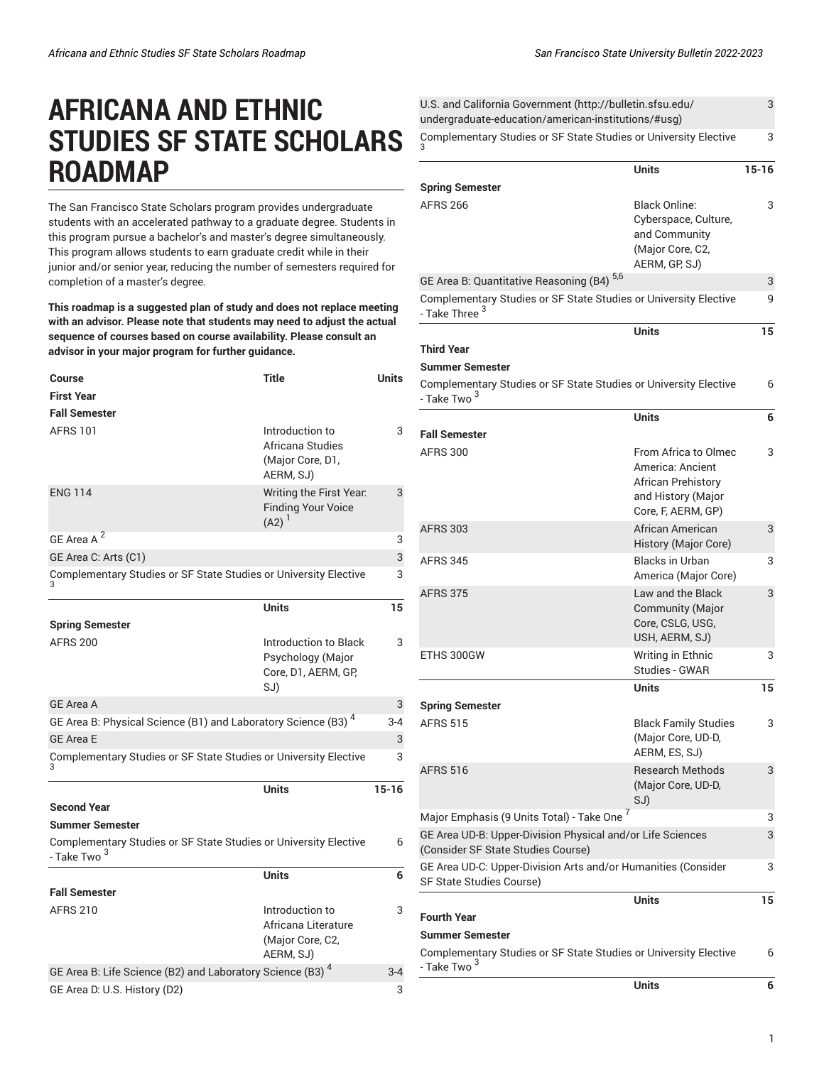## **AFRICANA AND ETHNIC STUDIES SF STATE SCHOLARS ROADMAP**

The San Francisco State Scholars program provides undergraduate students with an accelerated pathway to a graduate degree. Students in this program pursue a bachelor's and master's degree simultaneously. This program allows students to earn graduate credit while in their junior and/or senior year, reducing the number of semesters required for completion of a master's degree.

**This roadmap is a suggested plan of study and does not replace meeting with an advisor. Please note that students may need to adjust the actual sequence of courses based on course availability. Please consult an advisor in your major program for further guidance.**

| <b>Course</b>                                                                               | <b>Title</b>                                                             | <b>Units</b> |
|---------------------------------------------------------------------------------------------|--------------------------------------------------------------------------|--------------|
| <b>First Year</b>                                                                           |                                                                          |              |
| <b>Fall Semester</b>                                                                        |                                                                          |              |
| <b>AFRS 101</b>                                                                             | Introduction to<br>Africana Studies<br>(Major Core, D1,<br>AERM, SJ)     | 3            |
| <b>ENG 114</b>                                                                              | Writing the First Year.<br><b>Finding Your Voice</b><br>$(A2)^{1}$       | 3            |
| GE Area A <sup>2</sup>                                                                      |                                                                          | 3            |
| GE Area C: Arts (C1)                                                                        |                                                                          | 3            |
| Complementary Studies or SF State Studies or University Elective                            |                                                                          | 3            |
|                                                                                             | <b>Units</b>                                                             | 15           |
| <b>Spring Semester</b>                                                                      |                                                                          |              |
| <b>AFRS 200</b>                                                                             | Introduction to Black<br>Psychology (Major<br>Core, D1, AERM, GP,<br>SJ) | 3            |
| <b>GE Area A</b>                                                                            |                                                                          | 3            |
| GE Area B: Physical Science (B1) and Laboratory Science (B3) <sup>4</sup>                   |                                                                          | $3 - 4$      |
| <b>GE Area E</b>                                                                            |                                                                          | 3            |
| Complementary Studies or SF State Studies or University Elective                            |                                                                          | 3            |
|                                                                                             | <b>Units</b>                                                             | $15-16$      |
| <b>Second Year</b>                                                                          |                                                                          |              |
| <b>Summer Semester</b>                                                                      |                                                                          |              |
| Complementary Studies or SF State Studies or University Elective<br>- Take Two <sup>3</sup> |                                                                          | 6            |
|                                                                                             | <b>Units</b>                                                             | 6            |
| <b>Fall Semester</b>                                                                        |                                                                          |              |
| <b>AFRS 210</b>                                                                             | Introduction to<br>Africana Literature<br>(Major Core, C2,<br>AERM, SJ)  | 3            |
| GE Area B: Life Science (B2) and Laboratory Science (B3) <sup>4</sup>                       |                                                                          | $3 - 4$      |
| GE Area D: U.S. History (D2)                                                                |                                                                          | 3            |

| U.S. and California Government (http://bulletin.sfsu.edu/<br>undergraduate-education/american-institutions/#usg)                    |                                                                                                            | 3         |
|-------------------------------------------------------------------------------------------------------------------------------------|------------------------------------------------------------------------------------------------------------|-----------|
| Complementary Studies or SF State Studies or University Elective                                                                    |                                                                                                            | 3         |
|                                                                                                                                     | <b>Units</b>                                                                                               | $15 - 16$ |
| <b>Spring Semester</b><br>AFRS 266                                                                                                  | <b>Black Online:</b><br>Cyberspace, Culture,<br>and Community<br>(Major Core, C2,<br>AERM, GP, SJ)         | 3         |
| GE Area B: Quantitative Reasoning (B4) <sup>5,6</sup>                                                                               |                                                                                                            | 3         |
| Complementary Studies or SF State Studies or University Elective<br>- Take Three <sup>3</sup>                                       |                                                                                                            | 9         |
| Third Year<br><b>Summer Semester</b><br>Complementary Studies or SF State Studies or University Elective<br>- Take Two <sup>3</sup> | <b>Units</b>                                                                                               | 15<br>6   |
|                                                                                                                                     | <b>Units</b>                                                                                               | 6         |
| <b>Fall Semester</b>                                                                                                                |                                                                                                            |           |
| <b>AFRS 300</b>                                                                                                                     | From Africa to Olmec<br>America: Ancient<br>African Prehistory<br>and History (Major<br>Core, F, AERM, GP) | 3         |
| AFRS 303                                                                                                                            | African American<br>History (Major Core)                                                                   | 3         |
| AFRS 345                                                                                                                            | <b>Blacks in Urban</b><br>America (Major Core)                                                             | 3         |
| AFRS 375                                                                                                                            | Law and the Black<br><b>Community (Major</b><br>Core, CSLG, USG,<br>USH, AERM, SJ)                         | 3         |
| ETHS 300GW                                                                                                                          | Writing in Ethnic<br>Studies - GWAR                                                                        | 3         |
| Spring Semester                                                                                                                     | <b>Units</b>                                                                                               | 15        |
| <b>AFRS 515</b>                                                                                                                     | <b>Black Family Studies</b><br>(Major Core, UD-D,<br>AERM, ES, SJ)                                         | 3         |
| AFRS 516                                                                                                                            | <b>Research Methods</b><br>(Major Core, UD-D,<br>SJ)                                                       | 3         |
| Major Emphasis (9 Units Total) - Take One <sup>7</sup>                                                                              |                                                                                                            | 3         |
| GE Area UD-B: Upper-Division Physical and/or Life Sciences<br>(Consider SF State Studies Course)                                    |                                                                                                            | 3         |
| GE Area UD-C: Upper-Division Arts and/or Humanities (Consider<br>SF State Studies Course)                                           |                                                                                                            | 3         |
| Fourth Year                                                                                                                         | Units                                                                                                      | 15        |
| Summer Semester                                                                                                                     |                                                                                                            |           |
| Complementary Studies or SF State Studies or University Elective<br>- Take Two <sup>3</sup>                                         |                                                                                                            | 6         |
|                                                                                                                                     | <b>Units</b>                                                                                               | 6         |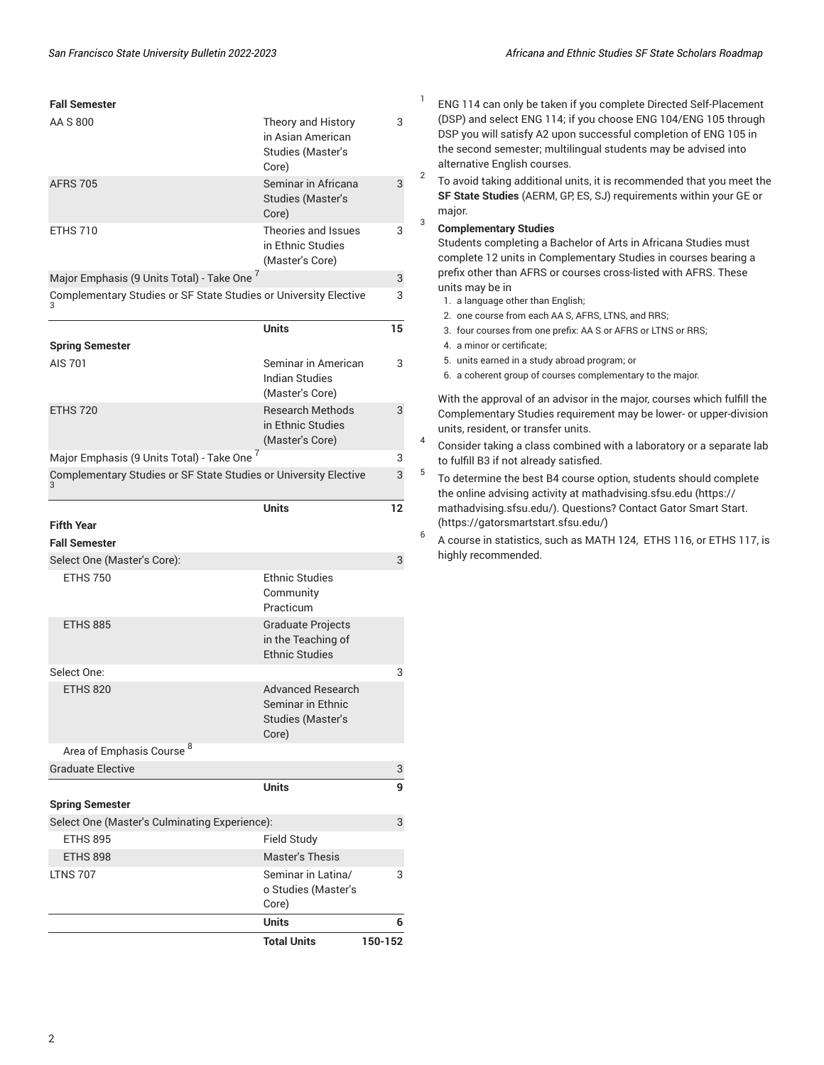| <b>Fall Semester</b>                                             |                                                                                    | 1                   |
|------------------------------------------------------------------|------------------------------------------------------------------------------------|---------------------|
| AA S 800                                                         | Theory and History<br>in Asian American<br>Studies (Master's<br>Core)              | 3                   |
| <b>AFRS 705</b>                                                  | Seminar in Africana<br><b>Studies (Master's</b><br>Core)                           | $\overline{2}$<br>3 |
| <b>ETHS 710</b>                                                  | Theories and Issues<br>in Ethnic Studies<br>(Master's Core)                        | 3<br>3              |
| Major Emphasis (9 Units Total) - Take One 7                      |                                                                                    | 3                   |
| Complementary Studies or SF State Studies or University Elective |                                                                                    | 3                   |
|                                                                  | <b>Units</b>                                                                       | 15                  |
| <b>Spring Semester</b>                                           |                                                                                    |                     |
| AIS 701                                                          | Seminar in American<br><b>Indian Studies</b><br>(Master's Core)                    | 3                   |
| <b>ETHS 720</b>                                                  | <b>Research Methods</b><br>in Ethnic Studies<br>(Master's Core)                    | 3<br>4              |
| Major Emphasis (9 Units Total) - Take One 7                      |                                                                                    | 3                   |
| Complementary Studies or SF State Studies or University Elective |                                                                                    | 5<br>3              |
|                                                                  | <b>Units</b>                                                                       | 12                  |
| <b>Fifth Year</b>                                                |                                                                                    | 6                   |
| <b>Fall Semester</b>                                             |                                                                                    |                     |
| Select One (Master's Core):                                      |                                                                                    | 3                   |
| <b>ETHS 750</b>                                                  | <b>Ethnic Studies</b><br>Community<br>Practicum                                    |                     |
| <b>ETHS 885</b>                                                  | <b>Graduate Projects</b><br>in the Teaching of<br><b>Ethnic Studies</b>            |                     |
| Select One:                                                      |                                                                                    | 3                   |
| <b>ETHS 820</b>                                                  | <b>Advanced Research</b><br>Seminar in Ethnic<br><b>Studies (Master's</b><br>Core) |                     |
| Area of Emphasis Course <sup>8</sup>                             |                                                                                    |                     |
| <b>Graduate Elective</b>                                         |                                                                                    | 3                   |
|                                                                  | <b>Units</b>                                                                       | 9                   |
| <b>Spring Semester</b>                                           |                                                                                    |                     |
| Select One (Master's Culminating Experience):                    |                                                                                    | 3                   |
| <b>ETHS 895</b>                                                  | <b>Field Study</b>                                                                 |                     |
| <b>ETHS 898</b>                                                  | <b>Master's Thesis</b>                                                             |                     |
| <b>LTNS 707</b>                                                  | Seminar in Latina/<br>o Studies (Master's<br>Core)                                 | 3                   |
|                                                                  | <b>Units</b>                                                                       | 6                   |
|                                                                  | <b>Total Units</b>                                                                 | 150-152             |

- ENG 114 can only be taken if you complete Directed Self-Placement (DSP) and select ENG 114; if you choose ENG 104/ENG 105 through DSP you will satisfy A2 upon successful completion of ENG 105 in the second semester; multilingual students may be advised into alternative English courses.
- To avoid taking additional units, it is recommended that you meet the **SF State Studies** (AERM, GP, ES, SJ) requirements within your GE or major.

## 3 **Complementary Studies**

Students completing a Bachelor of Arts in Africana Studies must complete 12 units in Complementary Studies in courses bearing a prefix other than AFRS or courses cross-listed with AFRS. These units may be in

- 1. a language other than English;
- 2. one course from each AA S, AFRS, LTNS, and RRS;
- 3. four courses from one prefix: AA S or AFRS or LTNS or RRS;
- 4. a minor or certificate;
- 5. units earned in a study abroad program; or
- 6. a coherent group of courses complementary to the major.

With the approval of an advisor in the major, courses which fulfill the Complementary Studies requirement may be lower- or upper-division units, resident, or transfer units.

- 4 Consider taking a class combined with a laboratory or a separate lab to fulfill B3 if not already satisfied.
- To determine the best B4 course option, students should complete the online advising activity at [mathadvising.sfsu.edu \(https://](https://mathadvising.sfsu.edu/) [mathadvising.sfsu.edu/](https://mathadvising.sfsu.edu/)). Questions? Contact Gator [Smart](https://gatorsmartstart.sfsu.edu/) Start. [\(https://gatorsmartstart.sfsu.edu/](https://gatorsmartstart.sfsu.edu/))
- A course in statistics, such as MATH 124, ETHS 116, or ETHS 117, is highly recommended.